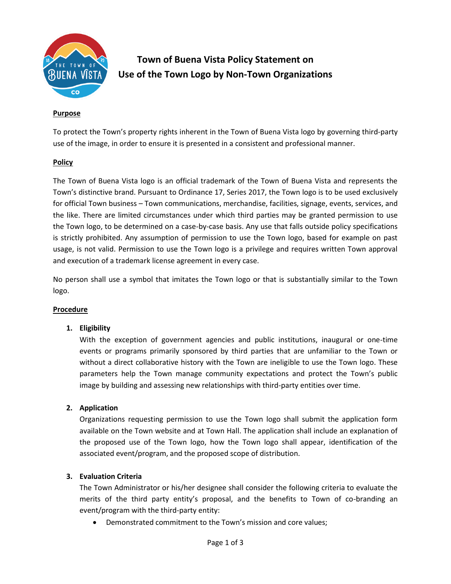

# **Town of Buena Vista Policy Statement on Use of the Town Logo by Non-Town Organizations**

## **Purpose**

To protect the Town's property rights inherent in the Town of Buena Vista logo by governing third-party use of the image, in order to ensure it is presented in a consistent and professional manner.

## **Policy**

The Town of Buena Vista logo is an official trademark of the Town of Buena Vista and represents the Town's distinctive brand. Pursuant to Ordinance 17, Series 2017, the Town logo is to be used exclusively for official Town business – Town communications, merchandise, facilities, signage, events, services, and the like. There are limited circumstances under which third parties may be granted permission to use the Town logo, to be determined on a case-by-case basis. Any use that falls outside policy specifications is strictly prohibited. Any assumption of permission to use the Town logo, based for example on past usage, is not valid. Permission to use the Town logo is a privilege and requires written Town approval and execution of a trademark license agreement in every case.

No person shall use a symbol that imitates the Town logo or that is substantially similar to the Town logo.

#### **Procedure**

#### **1. Eligibility**

With the exception of government agencies and public institutions, inaugural or one-time events or programs primarily sponsored by third parties that are unfamiliar to the Town or without a direct collaborative history with the Town are ineligible to use the Town logo. These parameters help the Town manage community expectations and protect the Town's public image by building and assessing new relationships with third-party entities over time.

#### **2. Application**

Organizations requesting permission to use the Town logo shall submit the application form available on the Town website and at Town Hall. The application shall include an explanation of the proposed use of the Town logo, how the Town logo shall appear, identification of the associated event/program, and the proposed scope of distribution.

#### **3. Evaluation Criteria**

The Town Administrator or his/her designee shall consider the following criteria to evaluate the merits of the third party entity's proposal, and the benefits to Town of co-branding an event/program with the third-party entity:

Demonstrated commitment to the Town's mission and core values;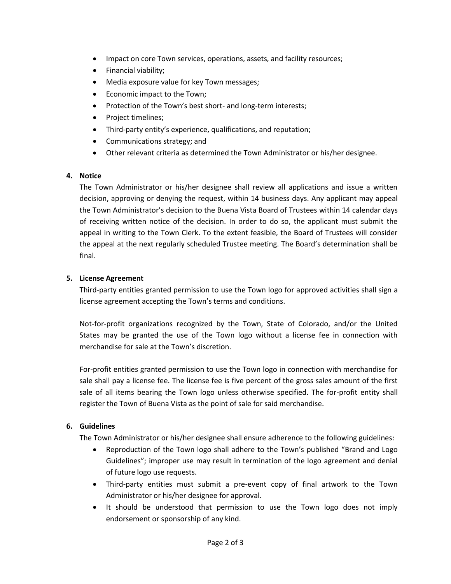- Impact on core Town services, operations, assets, and facility resources;
- Financial viability;
- Media exposure value for key Town messages;
- Economic impact to the Town;
- Protection of the Town's best short- and long-term interests;
- Project timelines;
- Third-party entity's experience, qualifications, and reputation;
- Communications strategy; and
- Other relevant criteria as determined the Town Administrator or his/her designee.

# **4. Notice**

The Town Administrator or his/her designee shall review all applications and issue a written decision, approving or denying the request, within 14 business days. Any applicant may appeal the Town Administrator's decision to the Buena Vista Board of Trustees within 14 calendar days of receiving written notice of the decision. In order to do so, the applicant must submit the appeal in writing to the Town Clerk. To the extent feasible, the Board of Trustees will consider the appeal at the next regularly scheduled Trustee meeting. The Board's determination shall be final.

# **5. License Agreement**

Third-party entities granted permission to use the Town logo for approved activities shall sign a license agreement accepting the Town's terms and conditions.

Not-for-profit organizations recognized by the Town, State of Colorado, and/or the United States may be granted the use of the Town logo without a license fee in connection with merchandise for sale at the Town's discretion.

For-profit entities granted permission to use the Town logo in connection with merchandise for sale shall pay a license fee. The license fee is five percent of the gross sales amount of the first sale of all items bearing the Town logo unless otherwise specified. The for-profit entity shall register the Town of Buena Vista as the point of sale for said merchandise.

# **6. Guidelines**

The Town Administrator or his/her designee shall ensure adherence to the following guidelines:

- Reproduction of the Town logo shall adhere to the Town's published "Brand and Logo Guidelines"; improper use may result in termination of the logo agreement and denial of future logo use requests.
- Third-party entities must submit a pre-event copy of final artwork to the Town Administrator or his/her designee for approval.
- It should be understood that permission to use the Town logo does not imply endorsement or sponsorship of any kind.